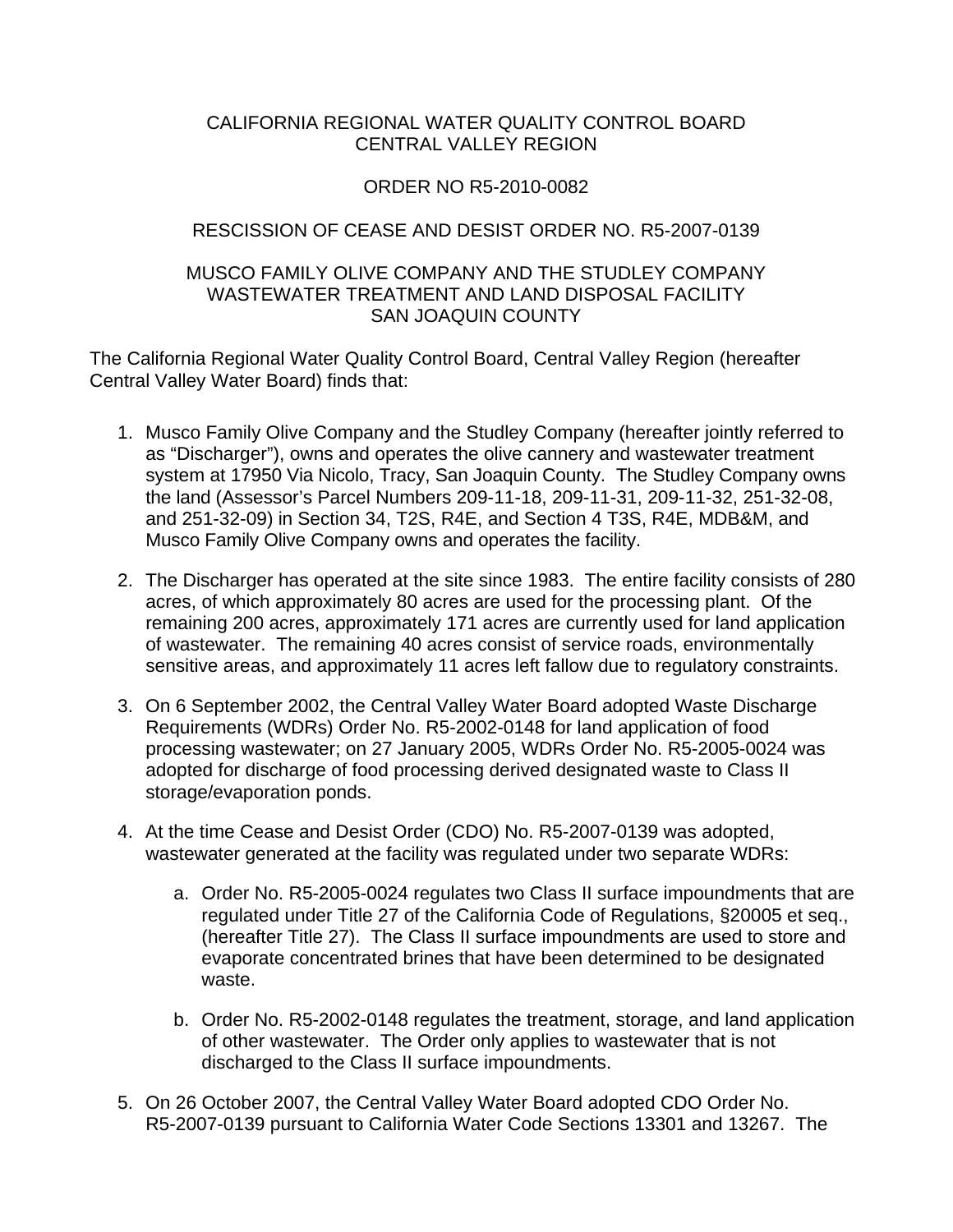### CALIFORNIA REGIONAL WATER QUALITY CONTROL BOARD CENTRAL VALLEY REGION

# ORDER NO R5-2010-0082

## RESCISSION OF CEASE AND DESIST ORDER NO. R5-2007-0139

#### MUSCO FAMILY OLIVE COMPANY AND THE STUDLEY COMPANY WASTEWATER TREATMENT AND LAND DISPOSAL FACILITY SAN JOAQUIN COUNTY

The California Regional Water Quality Control Board, Central Valley Region (hereafter Central Valley Water Board) finds that:

- 1. Musco Family Olive Company and the Studley Company (hereafter jointly referred to as "Discharger"), owns and operates the olive cannery and wastewater treatment system at 17950 Via Nicolo, Tracy, San Joaquin County. The Studley Company owns the land (Assessor's Parcel Numbers 209-11-18, 209-11-31, 209-11-32, 251-32-08, and 251-32-09) in Section 34, T2S, R4E, and Section 4 T3S, R4E, MDB&M, and Musco Family Olive Company owns and operates the facility.
- 2. The Discharger has operated at the site since 1983. The entire facility consists of 280 acres, of which approximately 80 acres are used for the processing plant. Of the remaining 200 acres, approximately 171 acres are currently used for land application of wastewater. The remaining 40 acres consist of service roads, environmentally sensitive areas, and approximately 11 acres left fallow due to regulatory constraints.
- 3. On 6 September 2002, the Central Valley Water Board adopted Waste Discharge Requirements (WDRs) Order No. R5-2002-0148 for land application of food processing wastewater; on 27 January 2005, WDRs Order No. R5-2005-0024 was adopted for discharge of food processing derived designated waste to Class II storage/evaporation ponds.
- 4. At the time Cease and Desist Order (CDO) No. R5-2007-0139 was adopted, wastewater generated at the facility was regulated under two separate WDRs:
	- a. Order No. R5-2005-0024 regulates two Class II surface impoundments that are regulated under Title 27 of the California Code of Regulations, §20005 et seq., (hereafter Title 27). The Class II surface impoundments are used to store and evaporate concentrated brines that have been determined to be designated waste.
	- b. Order No. R5-2002-0148 regulates the treatment, storage, and land application of other wastewater. The Order only applies to wastewater that is not discharged to the Class II surface impoundments.
- 5. On 26 October 2007, the Central Valley Water Board adopted CDO Order No. R5-2007-0139 pursuant to California Water Code Sections 13301 and 13267. The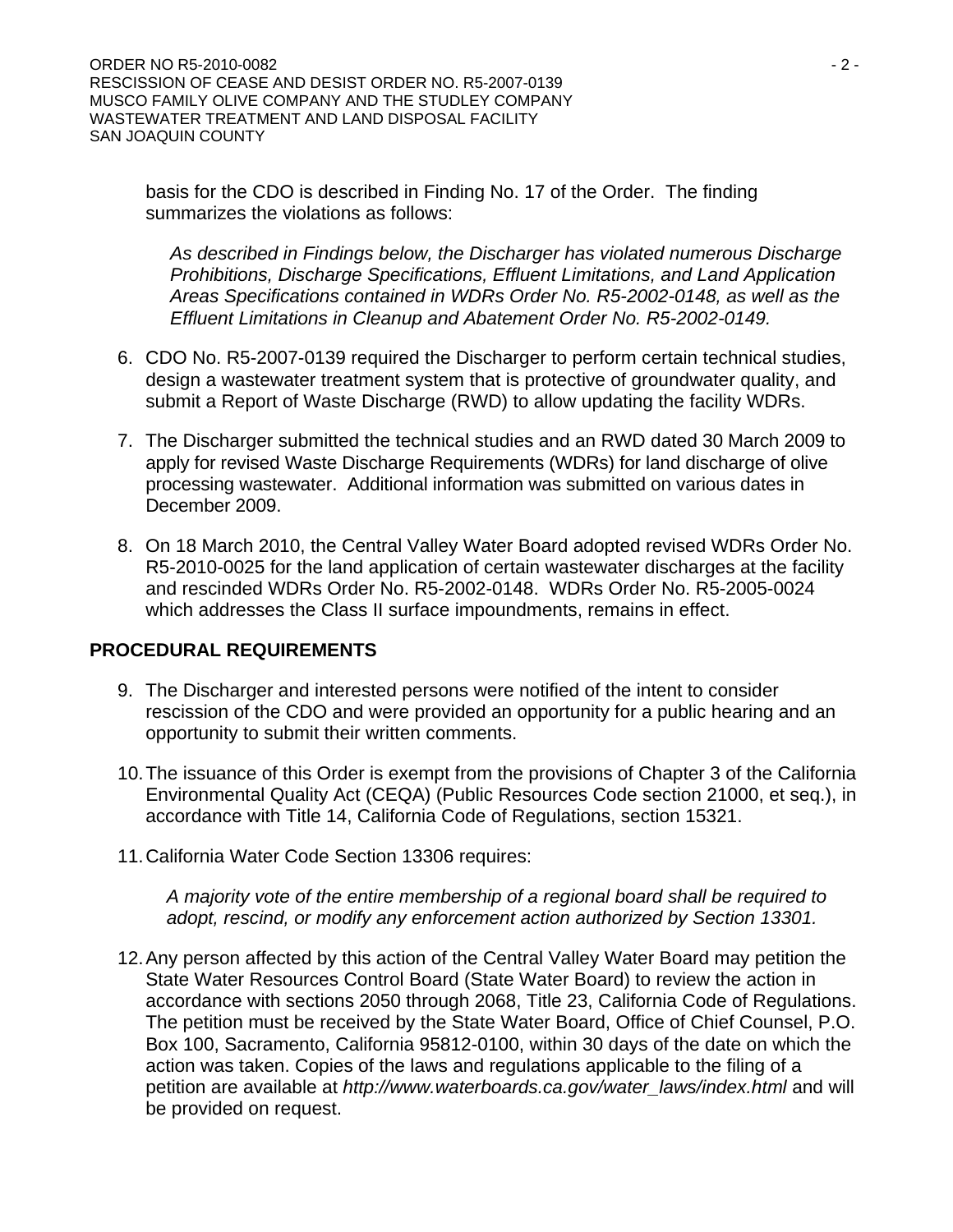basis for the CDO is described in Finding No. 17 of the Order. The finding summarizes the violations as follows:

*As described in Findings below, the Discharger has violated numerous Discharge Prohibitions, Discharge Specifications, Effluent Limitations, and Land Application Areas Specifications contained in WDRs Order No. R5-2002-0148, as well as the Effluent Limitations in Cleanup and Abatement Order No. R5-2002-0149.* 

- 6. CDO No. R5-2007-0139 required the Discharger to perform certain technical studies, design a wastewater treatment system that is protective of groundwater quality, and submit a Report of Waste Discharge (RWD) to allow updating the facility WDRs.
- 7. The Discharger submitted the technical studies and an RWD dated 30 March 2009 to apply for revised Waste Discharge Requirements (WDRs) for land discharge of olive processing wastewater. Additional information was submitted on various dates in December 2009.
- 8. On 18 March 2010, the Central Valley Water Board adopted revised WDRs Order No. R5-2010-0025 for the land application of certain wastewater discharges at the facility and rescinded WDRs Order No. R5-2002-0148. WDRs Order No. R5-2005-0024 which addresses the Class II surface impoundments, remains in effect.

### **PROCEDURAL REQUIREMENTS**

- 9. The Discharger and interested persons were notified of the intent to consider rescission of the CDO and were provided an opportunity for a public hearing and an opportunity to submit their written comments.
- 10. The issuance of this Order is exempt from the provisions of Chapter 3 of the California Environmental Quality Act (CEQA) (Public Resources Code section 21000, et seq.), in accordance with Title 14, California Code of Regulations, section 15321.
- 11. California Water Code Section 13306 requires:

*A majority vote of the entire membership of a regional board shall be required to adopt, rescind, or modify any enforcement action authorized by Section 13301.* 

12. Any person affected by this action of the Central Valley Water Board may petition the State Water Resources Control Board (State Water Board) to review the action in accordance with sections 2050 through 2068, Title 23, California Code of Regulations. The petition must be received by the State Water Board, Office of Chief Counsel, P.O. Box 100, Sacramento, California 95812-0100, within 30 days of the date on which the action was taken. Copies of the laws and regulations applicable to the filing of a petition are available at *http://www.waterboards.ca.gov/water\_laws/index.html* and will be provided on request.